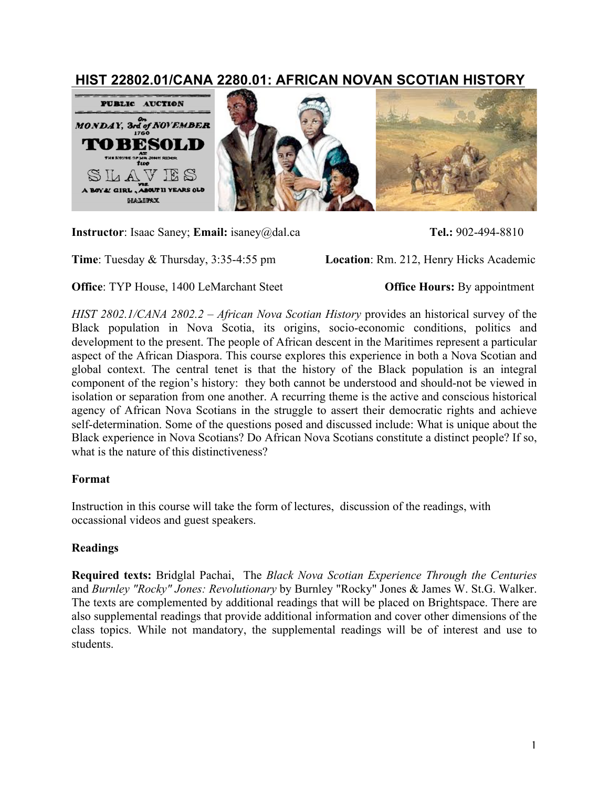# **HIST 22802.01/CANA 2280.01: AFRICAN NOVAN SCOTIAN HISTORY**



**Instructor**: Isaac Saney; **Email:** isaney@dal.ca **Tel.:** 902-494-8810

**Time**: Tuesday & Thursday, 3:35-4:55 pm **Location**: Rm. 212, Henry Hicks Academic

**Office**: TYP House, 1400 LeMarchant Steet **Office Hours:** By appointment

*HIST 2802.1/CANA 2802.2 – African Nova Scotian History* provides an historical survey of the Black population in Nova Scotia, its origins, socio-economic conditions, politics and development to the present. The people of African descent in the Maritimes represent a particular aspect of the African Diaspora. This course explores this experience in both a Nova Scotian and global context. The central tenet is that the history of the Black population is an integral component of the region's history: they both cannot be understood and should-not be viewed in isolation or separation from one another. A recurring theme is the active and conscious historical agency of African Nova Scotians in the struggle to assert their democratic rights and achieve self-determination. Some of the questions posed and discussed include: What is unique about the Black experience in Nova Scotians? Do African Nova Scotians constitute a distinct people? If so, what is the nature of this distinctiveness?

## **Format**

Instruction in this course will take the form of lectures, discussion of the readings, with occassional videos and guest speakers.

## **Readings**

**Required texts:** Bridglal Pachai, The *Black Nova Scotian Experience Through the Centuries* and *Burnley "Rocky" Jones: Revolutionary* by Burnley "Rocky" Jones & James W. St.G. Walker. The texts are complemented by additional readings that will be placed on Brightspace. There are also supplemental readings that provide additional information and cover other dimensions of the class topics. While not mandatory, the supplemental readings will be of interest and use to students.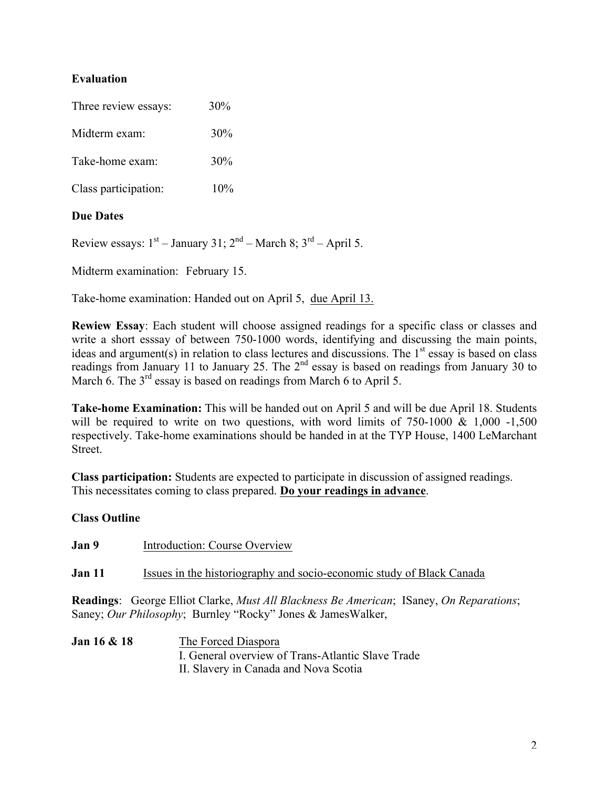# **Evaluation**

| Three review essays: | 30% |
|----------------------|-----|
| Midterm exam:        | 30% |
| Take-home exam:      | 30% |
| Class participation: | 10% |
|                      |     |

# **Due Dates**

Review essays:  $1<sup>st</sup>$  – January 31;  $2<sup>nd</sup>$  – March 8;  $3<sup>rd</sup>$  – April 5.

Midterm examination: February 15.

Take-home examination: Handed out on April 5, due April 13.

**Rewiew Essay**: Each student will choose assigned readings for a specific class or classes and write a short esssay of between 750-1000 words, identifying and discussing the main points, ideas and argument(s) in relation to class lectures and discussions. The  $1<sup>st</sup>$  essay is based on class readings from January 11 to January 25. The 2<sup>nd</sup> essay is based on readings from January 30 to March 6. The 3<sup>rd</sup> essay is based on readings from March 6 to April 5.

**Take-home Examination:** This will be handed out on April 5 and will be due April 18. Students will be required to write on two questions, with word limits of  $750-1000 \& 1,000 -1,500$ respectively. Take-home examinations should be handed in at the TYP House, 1400 LeMarchant Street.

**Class participation:** Students are expected to participate in discussion of assigned readings. This necessitates coming to class prepared. **Do your readings in advance**.

## **Class Outline**

| Jan 9  | Introduction: Course Overview                                                                                                                                                          |
|--------|----------------------------------------------------------------------------------------------------------------------------------------------------------------------------------------|
| Jan 11 | Issues in the historiography and socio-economic study of Black Canada                                                                                                                  |
|        | <b>Readings</b> : George Elliot Clarke, <i>Must All Blackness Be American</i> ; ISaney, <i>On Reparations</i> ;<br>Saney; <i>Our Philosophy</i> ; Burnley "Rocky" Jones & JamesWalker, |

**Jan 16 & 18** The Forced Diaspora I. General overview of Trans-Atlantic Slave Trade II. Slavery in Canada and Nova Scotia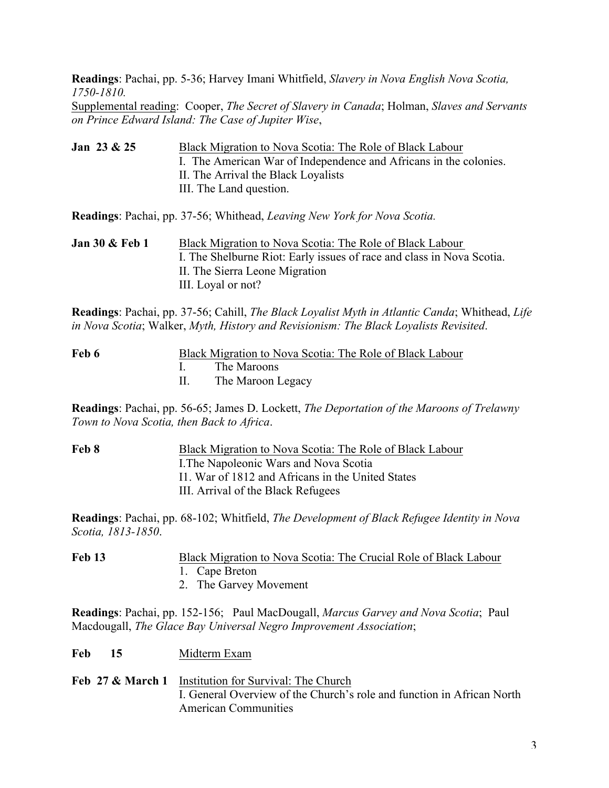**Readings**: Pachai, pp. 5-36; Harvey Imani Whitfield, *Slavery in Nova English Nova Scotia, 1750-1810.*

Supplemental reading: Cooper, *The Secret of Slavery in Canada*; Holman, *Slaves and Servants on Prince Edward Island: The Case of Jupiter Wise*,

**Jan 23 & 25** Black Migration to Nova Scotia: The Role of Black Labour I. The American War of Independence and Africans in the colonies. II. The Arrival the Black Loyalists III. The Land question.

**Readings**: Pachai, pp. 37-56; Whithead, *Leaving New York for Nova Scotia.*

**Jan 30 & Feb 1** Black Migration to Nova Scotia: The Role of Black Labour I. The Shelburne Riot: Early issues of race and class in Nova Scotia. II. The Sierra Leone Migration III. Loyal or not?

**Readings**: Pachai, pp. 37-56; Cahill, *The Black Loyalist Myth in Atlantic Canda*; Whithead, *Life in Nova Scotia*; Walker, *Myth, History and Revisionism: The Black Loyalists Revisited*.

| Feb 6 | Black Migration to Nova Scotia: The Role of Black Labour |
|-------|----------------------------------------------------------|
|       | I. The Maroons                                           |
|       | The Maroon Legacy                                        |

**Readings**: Pachai, pp. 56-65; James D. Lockett, *The Deportation of the Maroons of Trelawny Town to Nova Scotia, then Back to Africa*.

**Feb 8** Black Migration to Nova Scotia: The Role of Black Labour I.The Napoleonic Wars and Nova Scotia I1. War of 1812 and Africans in the United States III. Arrival of the Black Refugees

**Readings**: Pachai, pp. 68-102; Whitfield, *The Development of Black Refugee Identity in Nova Scotia, 1813-1850*.

| <b>Feb 13</b> | Black Migration to Nova Scotia: The Crucial Role of Black Labour |
|---------------|------------------------------------------------------------------|
|               | 1. Cape Breton                                                   |
|               | 2. The Garvey Movement                                           |

**Readings**: Pachai, pp. 152-156; Paul MacDougall, *Marcus Garvey and Nova Scotia*; Paul Macdougall, *The Glace Bay Universal Negro Improvement Association*;

- **Feb 15** Midterm Exam
- **Feb 27 & March 1** Institution for Survival: The Church I. General Overview of the Church's role and function in African North American Communities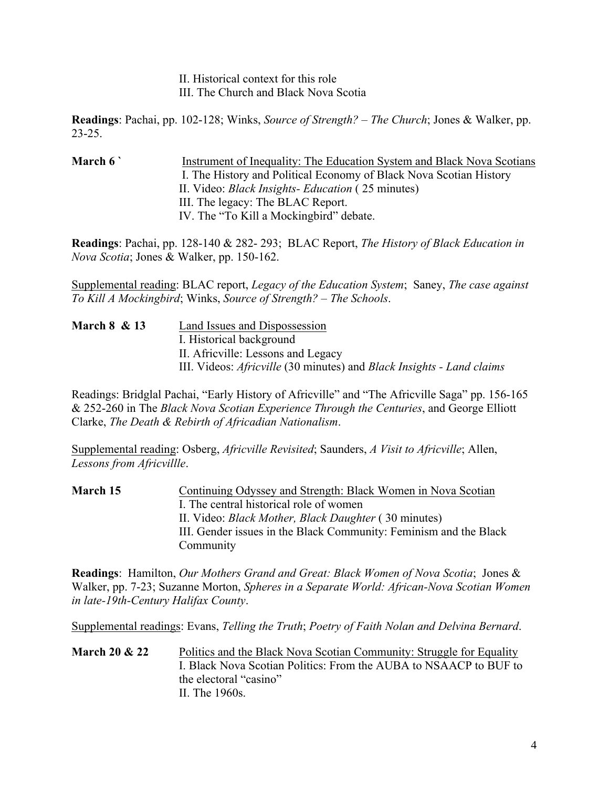II. Historical context for this role III. The Church and Black Nova Scotia

**Readings**: Pachai, pp. 102-128; Winks, *Source of Strength? – The Church*; Jones & Walker, pp. 23-25.

**March 6 `** Instrument of Inequality: The Education System and Black Nova Scotians I. The History and Political Economy of Black Nova Scotian History II. Video: *Black Insights- Education* ( 25 minutes) III. The legacy: The BLAC Report. IV. The "To Kill a Mockingbird" debate.

**Readings**: Pachai, pp. 128-140 & 282- 293; BLAC Report, *The History of Black Education in Nova Scotia*; Jones & Walker, pp. 150-162.

Supplemental reading: BLAC report, *Legacy of the Education System*; Saney, *The case against To Kill A Mockingbird*; Winks, *Source of Strength? – The Schools*.

| <b>March 8 &amp; 13</b> | Land Issues and Dispossession                                                       |
|-------------------------|-------------------------------------------------------------------------------------|
|                         | I. Historical background                                                            |
|                         | II. Africville: Lessons and Legacy                                                  |
|                         | III. Videos: <i>Africville</i> (30 minutes) and <i>Black Insights - Land claims</i> |

Readings: Bridglal Pachai, "Early History of Africville" and "The Africville Saga" pp. 156-165 & 252-260 in The *Black Nova Scotian Experience Through the Centuries*, and George Elliott Clarke, *The Death & Rebirth of Africadian Nationalism*.

Supplemental reading: Osberg, *Africville Revisited*; Saunders, *A Visit to Africville*; Allen, *Lessons from Africvillle*.

**March 15** Continuing Odyssey and Strength: Black Women in Nova Scotian I. The central historical role of women II. Video: *Black Mother, Black Daughter* ( 30 minutes) III. Gender issues in the Black Community: Feminism and the Black Community

**Readings**: Hamilton, *Our Mothers Grand and Great: Black Women of Nova Scotia*; Jones & Walker, pp. 7-23; Suzanne Morton, *Spheres in a Separate World: African-Nova Scotian Women in late-19th-Century Halifax County*.

Supplemental readings: Evans, *Telling the Truth*; *Poetry of Faith Nolan and Delvina Bernard*.

**March 20 & 22** Politics and the Black Nova Scotian Community: Struggle for Equality I. Black Nova Scotian Politics: From the AUBA to NSAACP to BUF to the electoral "casino" II. The 1960s.